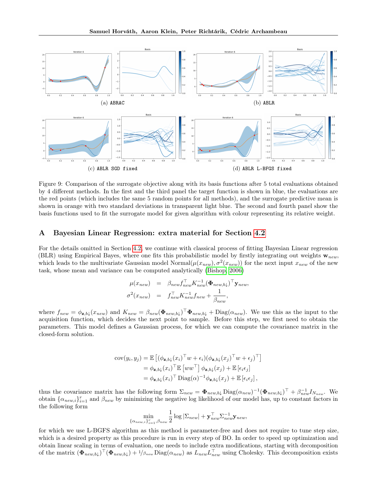

Figure 9: Comparison of the surrogate objective along with its basis functions after 5 total evaluations obtained by 4 different methods. In the first and the third panel the target function is shown in blue, the evaluations are the red points (which includes the same 5 random points for all methods), and the surrogate predictive mean is shown in orange with two standard deviations in transparent light blue. The second and fourth panel show the basis functions used to fit the surrogate model for given algorithm with colour representing its relative weight.

## A Bayesian Linear Regression: extra material for Section 4.2

For the details omitted in Section 4.2, we continue with classical process of fitting Bayesian Linear regression (BLR) using Empirical Bayes, where one fits this probabilistic model by firstly integrating out weights  $\mathbf{w}_{new}$ , which leads to the multivariate Gaussian model Normal $(\mu(x_{new}), \sigma^2(x_{new}))$  for the next input  $x_{new}$  of the new task, whose mean and variance can be computed analytically (Bishop, 2006)

$$
\mu(x_{new}) = \beta_{new} f_{new}^{\top} K_{new}^{-1} (\Phi_{new,b\downarrow})^{\top} \mathbf{y}_{new},
$$
  

$$
\sigma^{2}(x_{new}) = f_{new}^{\top} K_{new}^{-1} f_{new} + \frac{1}{\beta_{new}},
$$

where  $f_{new} = \phi_{\mathbf{z},b\downarrow}(x_{new})$  and  $K_{new} = \beta_{new}(\mathbf{\Phi}_{new,b\downarrow})^{\top} \mathbf{\Phi}_{new,b\downarrow} + \text{Diag}(\alpha_{new})$ . We use this as the input to the acquisition function, which decides the next point to sample. Before this step, we first need to obtain the parameters. This model defines a Gaussian process, for which we can compute the covariance matrix in the closed-form solution.

$$
cov(y_i, y_j) = \mathbb{E}\left[ (\phi_{\mathbf{z},b\downarrow}(x_i)^\top w + \epsilon_i)(\phi_{\mathbf{z},b\downarrow}(x_j)^\top w + \epsilon_j)^\top \right]
$$
  
=  $\phi_{\mathbf{z},b\downarrow}(x_i)^\top \mathbb{E}\left[ww^\top\right] \phi_{\mathbf{z},b\downarrow}(x_j) + \mathbb{E}\left[\epsilon_i\epsilon_j\right]$   
=  $\phi_{\mathbf{z},b\downarrow}(x_i)^\top \text{Diag}(\alpha)^{-1} \phi_{\mathbf{z},b\downarrow}(x_j) + \mathbb{E}\left[\epsilon_i\epsilon_j\right],$ 

thus the covariance matrix has the following form  $\Sigma_{new} = \mathbf{\Phi}_{new,b\downarrow} \text{Diag}(\alpha_{new})^{-1} (\mathbf{\Phi}_{new,b\downarrow})^{\top} + \beta_{new}^{-1} I_{N_{new}}$ . We obtain  $\{\alpha_{new,i}\}_{i=1}^r$  and  $\beta_{new}$  by minimizing the negative log likelihood of our model has, up to constant factors in the following form

$$
\min_{\{\alpha_{new,i}\}_{i=1}^r,\beta_{new}}\frac{1}{2}\log|\Sigma_{new}|+\mathbf{y}_{new}^\top\Sigma_{new}^{-1}\mathbf{y}_{new},
$$

for which we use L-BGFS algorithm as this method is parameter-free and does not require to tune step size, which is a desired property as this procedure is run in every step of BO. In order to speed up optimization and obtain linear scaling in terms of evaluation, one needs to include extra modifications, starting with decomposition of the matrix  $(\Phi_{new,b}\downarrow)^{\top}(\Phi_{new,b}\downarrow) + 1/\beta_{new} \text{Diag}(\alpha_{new})$  as  $L_{new}L_{new}^{\top}$  using Cholesky. This decomposition exists